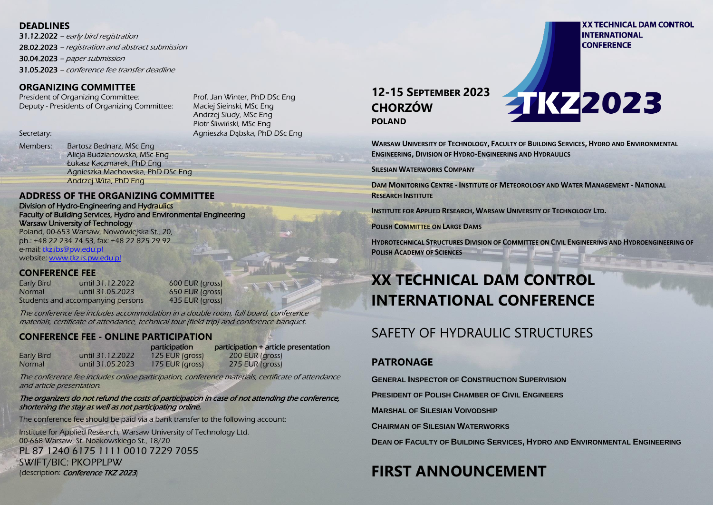### **DEADLINES**

31.12.2022 – early bird registration 28.02.2023 – registration and abstract submission 30.04.2023 – paper submission 31.05.2023 – conference fee transfer deadline

### **ORGANIZING COMMITTEE**

President of Organizing Committee: Prof. Jan Winter, PhD DSc Eng Deputy - Presidents of Organizing Committee: Maciej Sieinski, MSc Eng

Andrzej Siudy, MSc Eng Piotr Śliwiński, MSc Eng Secretary: Agnieszka Dąbska, PhD DSc Eng

Members: Bartosz Bednarz, MSc Eng Alicja Budzianowska, MSc Eng Łukasz Kaczmarek, PhD Eng Agnieszka Machowska, PhD DSc Eng Andrzej Wita, PhD Eng

### **ADDRESS OF THE ORGANIZING COMMITTEE**

Division of Hydro-Engineering and Hydraulics Faculty of Building Services, Hydro and Environmental Engineering Warsaw University of Technology

Poland, 00-653 Warsaw, Nowowiejska St., 20, ph.: +48 22 234 74 53, fax: +48 22 825 29 92 e-mail[: tkz.ibs@pw.edu.pl](mailto:tkz.ibs@pw.edu.pl) website: [www.tkz.is.pw.edu.pl](http://www.tkz.is.pw.edu.pl/)

### **CONFERENCE FEE**

Early Bird until 31.12.2022 600 EUR (gross) Normal until 31.05.2023 650 EUR (gross) Students and accompanying persons 435 EUR (gross)

The conference fee includes accommodation in a double room, full board, conference materials, certificate of attendance, technical tour (field trip) and conference banquet.

### **CONFERENCE FEE - ONLINE PARTICIPATION**

|                   |                  | participation     | participation + article presentation |
|-------------------|------------------|-------------------|--------------------------------------|
| <b>Early Bird</b> | until 31.12.2022 | 125 EUR (gross)   | 200 EUR (gross)                      |
| Normal            | until 31.05.2023 | $175$ EUR (gross) | 275 EUR (gross)                      |

The conference fee includes online participation, conference materials, certificate of attendance and article presentation.

### The organizers do not refund the costs of participation in case of not attending the conference, shortening the stay as well as not participating online.

The conference fee should be paid via a bank transfer to the following account:

Institute for Applied Research, Warsaw University of Technology Ltd. 00-668 Warsaw, St. Noakowskiego St., 18/20 PL 87 1240 6175 1111 0010 7229 7055 SWIFT/BIC: PKOPPLPW (description: Conference TKZ 2023)

### **12-15 SEPTEMBER 2023 CHORZÓW POLAND**

**WARSAW UNIVERSITY OF TECHNOLOGY, FACULTY OF BUILDING SERVICES, HYDRO AND ENVIRONMENTAL** 

**FIK72023** 

**ENGINEERING, DIVISION OF HYDRO-ENGINEERING AND HYDRAULICS**

**SILESIAN WATERWORKS COMPANY**

**DAM MONITORING CENTRE - INSTITUTE OF METEOROLOGY AND WATER MANAGEMENT - NATIONAL RESEARCH INSTITUTE**

**INSTITUTE FOR APPLIED RESEARCH, WARSAW UNIVERSITY OF TECHNOLOGY LTD.**

**POLISH COMMITTEE ON LARGE DAMS**

**HYDROTECHNICAL STRUCTURES DIVISION OF COMMITTEE ON CIVIL ENGINEERING AND HYDROENGINEERING OF POLISH ACADEMY OF SCIENCES**

# **XX TECHNICAL DAM CONTROL INTERNATIONAL CONFERENCE**

# SAFFTY OF HYDRAULIC STRUCTURES

### **PATRONAGE**

**GENERAL I[NSPECTOR OF](https://www.gunb.gov.pl/) CONSTRUCTION SUPERVISION**

**PRESIDENT OF POLISH CHAMBER OF CIVIL ENGINEERS**

**MARSHAL OF SILESIAN VOIVODSHIP**

**CHAIRMAN OF SILESIAN WATERWORKS**

**DEAN OF FACULTY OF BUILDING SERVICES, HYDRO AND ENVIRONMENTAL ENGINEERING**

# **FIRST ANNOUNCEMENT**

**XX TECHNICAL DAM CONTROL INTERNATIONAL CONFERENCE**